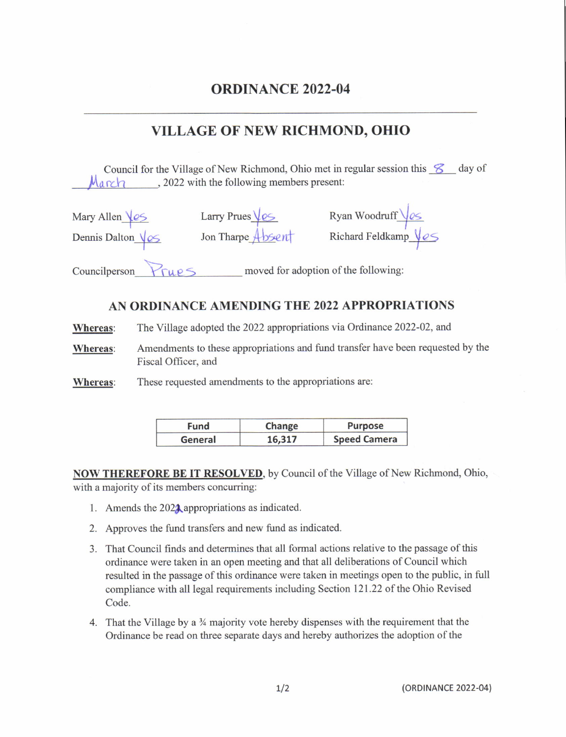## VILLAGE OF NEW RICHMOND. OHIO

Council for the Village of New Richmond, Ohio met in regular session this  $\mathscr{S}$  day of  $M$ a rch cases, 2022 with the following members present:

| Mary Allen Ves        | Larry Prues $\sqrt{\mathrm{eS}}$     | Ryan Woodruff Ves            |
|-----------------------|--------------------------------------|------------------------------|
| Dennis Dalton Vos     | Jon Tharpe Absent                    | Richard Feldkamp $\sqrt{eS}$ |
| Councilperson<br>TUP5 | moved for adoption of the following: |                              |

## AN ORDINANCE AMENDING THE 2022 APPROPRIATIONS

Whereas: The Village adopted the 2022 appropriations via Ordinance 2022-02, and

Whereas: Amendments to these appropriations and fund transfer have been requested by the Fiscal Officer, and

Whereas: These requested amendments to the appropriations are:

| Fund    | Change | <b>Purpose</b>      |
|---------|--------|---------------------|
| General | 16,317 | <b>Speed Camera</b> |

NOW THEREFORE BE IT RESOLVED, by Council of the Village of New Richmond, Ohio, with a majority of its members concurring:

- 1. Amends the  $202\lambda$  appropriations as indicated.
- 2. Approves the fund transfers and new fund as indicated.
- 3. That Council finds and determines that all formal actions relative to the passage of this ordinance were taken in an open meeting and that all deliberations of Council which resulted in the passage of this ordinance were taken in meetings open to the public, in full compliance with all legal requirements including Section 121.22 of the Ohio Revised Code.
- 4. That the Village by a  $\frac{3}{4}$  majority vote hereby dispenses with the requirement that the Ordinance be read on three separate days and hereby authorizes the adoption of the